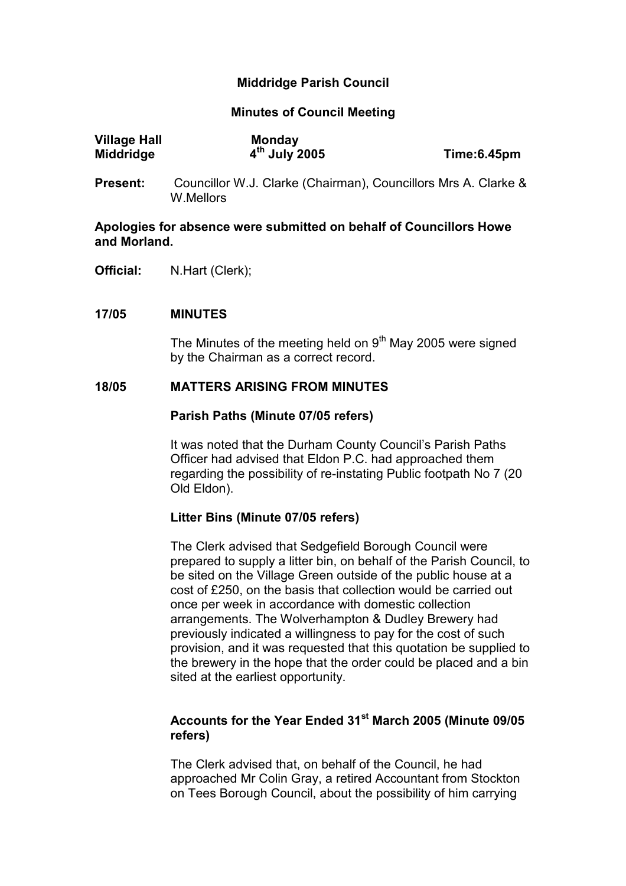## Middridge Parish Council

#### Minutes of Council Meeting

| <b>Village Hall</b> | <b>Monday</b>   |             |
|---------------------|-----------------|-------------|
| Middridge           | $4th$ July 2005 | Time:6.45pm |

Present: Councillor W.J. Clarke (Chairman), Councillors Mrs A. Clarke & W.Mellors

# Apologies for absence were submitted on behalf of Councillors Howe and Morland.

Official: N.Hart (Clerk);

### 17/05 MINUTES

The Minutes of the meeting held on  $9<sup>th</sup>$  May 2005 were signed by the Chairman as a correct record.

### 18/05 MATTERS ARISING FROM MINUTES

#### Parish Paths (Minute 07/05 refers)

It was noted that the Durham County Council's Parish Paths Officer had advised that Eldon P.C. had approached them regarding the possibility of re-instating Public footpath No 7 (20 Old Eldon).

#### Litter Bins (Minute 07/05 refers)

The Clerk advised that Sedgefield Borough Council were prepared to supply a litter bin, on behalf of the Parish Council, to be sited on the Village Green outside of the public house at a cost of £250, on the basis that collection would be carried out once per week in accordance with domestic collection arrangements. The Wolverhampton & Dudley Brewery had previously indicated a willingness to pay for the cost of such provision, and it was requested that this quotation be supplied to the brewery in the hope that the order could be placed and a bin sited at the earliest opportunity.

# Accounts for the Year Ended 31<sup>st</sup> March 2005 (Minute 09/05 refers)

The Clerk advised that, on behalf of the Council, he had approached Mr Colin Gray, a retired Accountant from Stockton on Tees Borough Council, about the possibility of him carrying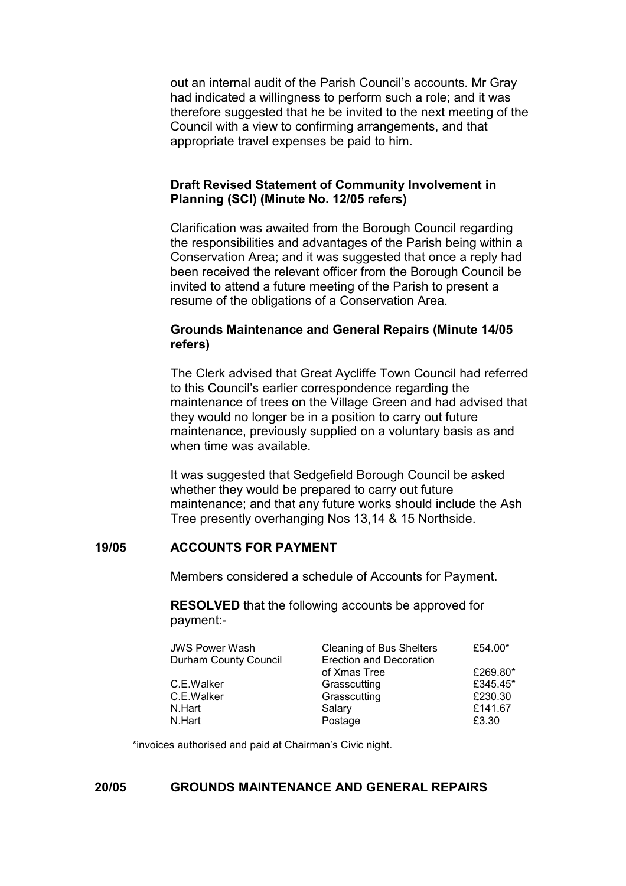out an internal audit of the Parish Council's accounts. Mr Gray had indicated a willingness to perform such a role; and it was therefore suggested that he be invited to the next meeting of the Council with a view to confirming arrangements, and that appropriate travel expenses be paid to him.

#### Draft Revised Statement of Community Involvement in Planning (SCI) (Minute No. 12/05 refers)

Clarification was awaited from the Borough Council regarding the responsibilities and advantages of the Parish being within a Conservation Area; and it was suggested that once a reply had been received the relevant officer from the Borough Council be invited to attend a future meeting of the Parish to present a resume of the obligations of a Conservation Area.

### Grounds Maintenance and General Repairs (Minute 14/05 refers)

The Clerk advised that Great Aycliffe Town Council had referred to this Council's earlier correspondence regarding the maintenance of trees on the Village Green and had advised that they would no longer be in a position to carry out future maintenance, previously supplied on a voluntary basis as and when time was available.

It was suggested that Sedgefield Borough Council be asked whether they would be prepared to carry out future maintenance; and that any future works should include the Ash Tree presently overhanging Nos 13,14 & 15 Northside.

## 19/05 ACCOUNTS FOR PAYMENT

Members considered a schedule of Accounts for Payment.

 RESOLVED that the following accounts be approved for payment:-

| <b>JWS Power Wash</b> | <b>Cleaning of Bus Shelters</b> | £54.00*  |
|-----------------------|---------------------------------|----------|
| Durham County Council | <b>Erection and Decoration</b>  |          |
|                       | of Xmas Tree                    | £269.80* |
| C.E.Walker            | Grasscutting                    | £345.45* |
| C.E.Walker            | Grasscutting                    | £230.30  |
| N.Hart                | Salary                          | £141.67  |
| N.Hart                | Postage                         | £3.30    |

\*invoices authorised and paid at Chairman's Civic night.

### 20/05 GROUNDS MAINTENANCE AND GENERAL REPAIRS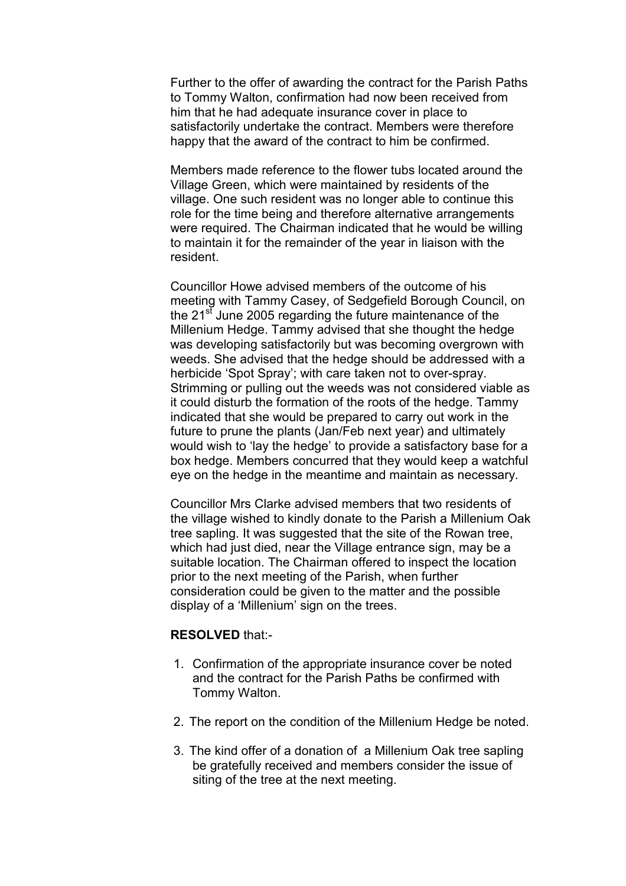Further to the offer of awarding the contract for the Parish Paths to Tommy Walton, confirmation had now been received from him that he had adequate insurance cover in place to satisfactorily undertake the contract. Members were therefore happy that the award of the contract to him be confirmed.

Members made reference to the flower tubs located around the Village Green, which were maintained by residents of the village. One such resident was no longer able to continue this role for the time being and therefore alternative arrangements were required. The Chairman indicated that he would be willing to maintain it for the remainder of the year in liaison with the resident.

Councillor Howe advised members of the outcome of his meeting with Tammy Casey, of Sedgefield Borough Council, on the 21<sup>st</sup> June 2005 regarding the future maintenance of the Millenium Hedge. Tammy advised that she thought the hedge was developing satisfactorily but was becoming overgrown with weeds. She advised that the hedge should be addressed with a herbicide 'Spot Spray'; with care taken not to over-spray. Strimming or pulling out the weeds was not considered viable as it could disturb the formation of the roots of the hedge. Tammy indicated that she would be prepared to carry out work in the future to prune the plants (Jan/Feb next year) and ultimately would wish to 'lay the hedge' to provide a satisfactory base for a box hedge. Members concurred that they would keep a watchful eye on the hedge in the meantime and maintain as necessary.

Councillor Mrs Clarke advised members that two residents of the village wished to kindly donate to the Parish a Millenium Oak tree sapling. It was suggested that the site of the Rowan tree, which had just died, near the Village entrance sign, may be a suitable location. The Chairman offered to inspect the location prior to the next meeting of the Parish, when further consideration could be given to the matter and the possible display of a 'Millenium' sign on the trees.

#### RESOLVED that:-

- 1. Confirmation of the appropriate insurance cover be noted and the contract for the Parish Paths be confirmed with Tommy Walton.
- 2. The report on the condition of the Millenium Hedge be noted.
- 3. The kind offer of a donation of a Millenium Oak tree sapling be gratefully received and members consider the issue of siting of the tree at the next meeting.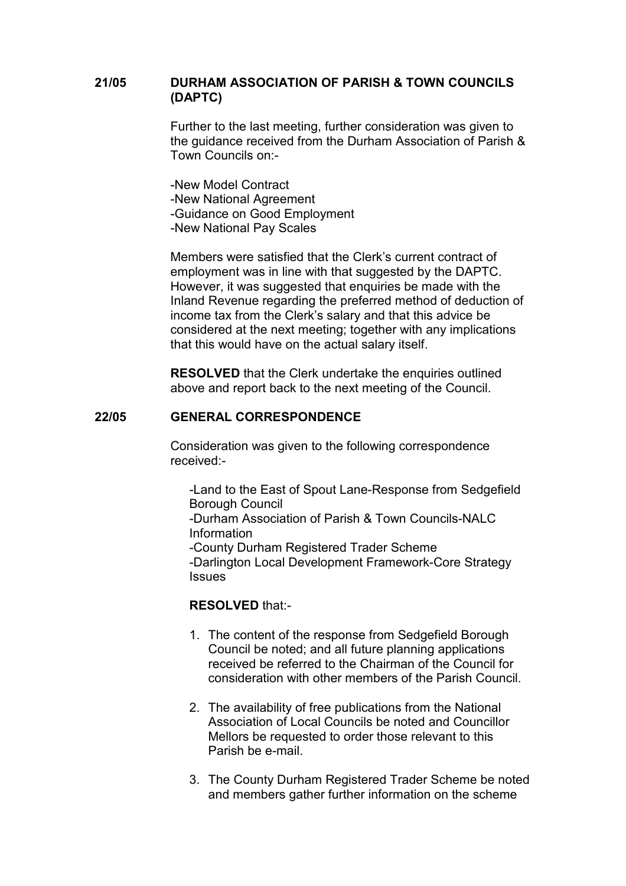### 21/05 DURHAM ASSOCIATION OF PARISH & TOWN COUNCILS (DAPTC)

Further to the last meeting, further consideration was given to the guidance received from the Durham Association of Parish & Town Councils on:-

-New Model Contract -New National Agreement -Guidance on Good Employment -New National Pay Scales

Members were satisfied that the Clerk's current contract of employment was in line with that suggested by the DAPTC. However, it was suggested that enquiries be made with the Inland Revenue regarding the preferred method of deduction of income tax from the Clerk's salary and that this advice be considered at the next meeting; together with any implications that this would have on the actual salary itself.

RESOLVED that the Clerk undertake the enquiries outlined above and report back to the next meeting of the Council.

#### 22/05 GENERAL CORRESPONDENCE

Consideration was given to the following correspondence received:-

 -Land to the East of Spout Lane-Response from Sedgefield Borough Council

 -Durham Association of Parish & Town Councils-NALC Information

 -County Durham Registered Trader Scheme -Darlington Local Development Framework-Core Strategy **Issues** 

## RESOLVED that:-

- 1. The content of the response from Sedgefield Borough Council be noted; and all future planning applications received be referred to the Chairman of the Council for consideration with other members of the Parish Council.
- 2. The availability of free publications from the National Association of Local Councils be noted and Councillor Mellors be requested to order those relevant to this Parish be e-mail.
- 3. The County Durham Registered Trader Scheme be noted and members gather further information on the scheme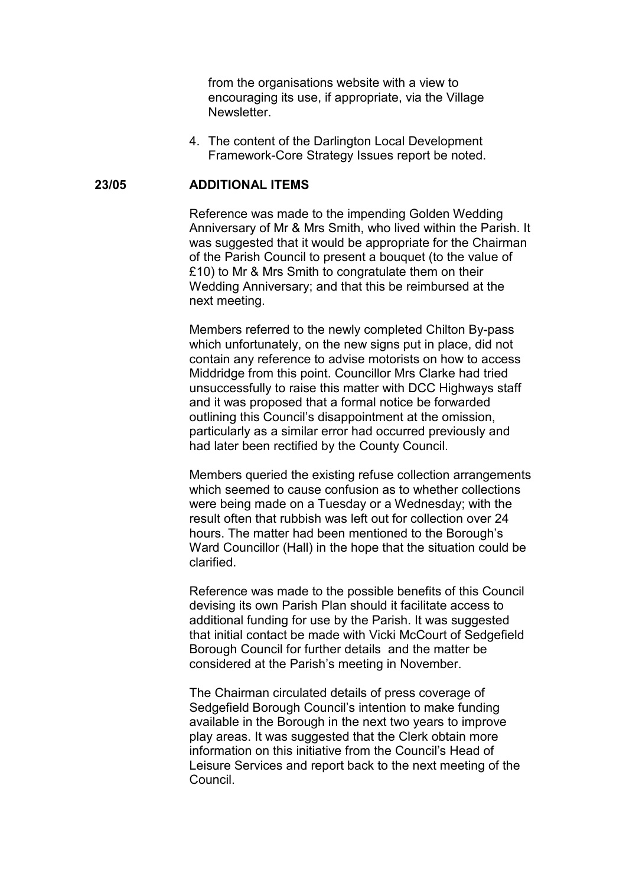from the organisations website with a view to encouraging its use, if appropriate, via the Village Newsletter.

4. The content of the Darlington Local Development Framework-Core Strategy Issues report be noted.

#### 23/05 ADDITIONAL ITEMS

Reference was made to the impending Golden Wedding Anniversary of Mr & Mrs Smith, who lived within the Parish. It was suggested that it would be appropriate for the Chairman of the Parish Council to present a bouquet (to the value of £10) to Mr & Mrs Smith to congratulate them on their Wedding Anniversary; and that this be reimbursed at the next meeting.

Members referred to the newly completed Chilton By-pass which unfortunately, on the new signs put in place, did not contain any reference to advise motorists on how to access Middridge from this point. Councillor Mrs Clarke had tried unsuccessfully to raise this matter with DCC Highways staff and it was proposed that a formal notice be forwarded outlining this Council's disappointment at the omission, particularly as a similar error had occurred previously and had later been rectified by the County Council.

Members queried the existing refuse collection arrangements which seemed to cause confusion as to whether collections were being made on a Tuesday or a Wednesday; with the result often that rubbish was left out for collection over 24 hours. The matter had been mentioned to the Borough's Ward Councillor (Hall) in the hope that the situation could be clarified.

Reference was made to the possible benefits of this Council devising its own Parish Plan should it facilitate access to additional funding for use by the Parish. It was suggested that initial contact be made with Vicki McCourt of Sedgefield Borough Council for further details and the matter be considered at the Parish's meeting in November.

The Chairman circulated details of press coverage of Sedgefield Borough Council's intention to make funding available in the Borough in the next two years to improve play areas. It was suggested that the Clerk obtain more information on this initiative from the Council's Head of Leisure Services and report back to the next meeting of the Council.